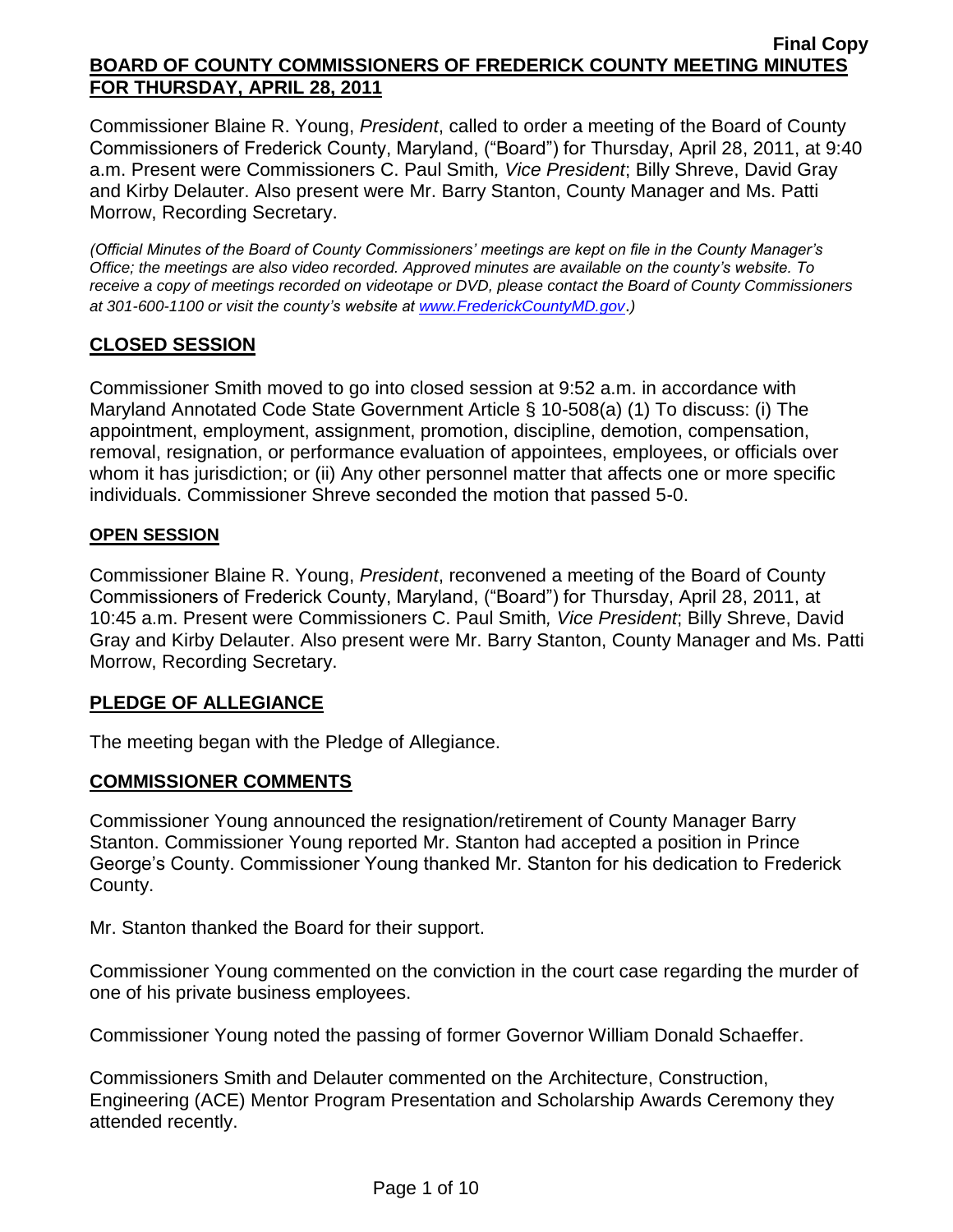Commissioner Blaine R. Young, *President*, called to order a meeting of the Board of County Commissioners of Frederick County, Maryland, ("Board") for Thursday, April 28, 2011, at 9:40 a.m. Present were Commissioners C. Paul Smith*, Vice President*; Billy Shreve, David Gray and Kirby Delauter. Also present were Mr. Barry Stanton, County Manager and Ms. Patti Morrow, Recording Secretary.

*(Official Minutes of the Board of County Commissioners' meetings are kept on file in the County Manager's Office; the meetings are also video recorded. Approved minutes are available on the county's website. To receive a copy of meetings recorded on videotape or DVD, please contact the Board of County Commissioners at 301-600-1100 or visit the county's website at [www.FrederickCountyMD.gov](http://www.frederickcountymd.gov/)*.*)*

# **CLOSED SESSION**

Commissioner Smith moved to go into closed session at 9:52 a.m. in accordance with Maryland Annotated Code State Government Article § 10-508(a) (1) To discuss: (i) The appointment, employment, assignment, promotion, discipline, demotion, compensation, removal, resignation, or performance evaluation of appointees, employees, or officials over whom it has jurisdiction; or (ii) Any other personnel matter that affects one or more specific individuals. Commissioner Shreve seconded the motion that passed 5-0.

#### **OPEN SESSION**

Commissioner Blaine R. Young, *President*, reconvened a meeting of the Board of County Commissioners of Frederick County, Maryland, ("Board") for Thursday, April 28, 2011, at 10:45 a.m. Present were Commissioners C. Paul Smith*, Vice President*; Billy Shreve, David Gray and Kirby Delauter. Also present were Mr. Barry Stanton, County Manager and Ms. Patti Morrow, Recording Secretary.

## **PLEDGE OF ALLEGIANCE**

The meeting began with the Pledge of Allegiance.

## **COMMISSIONER COMMENTS**

Commissioner Young announced the resignation/retirement of County Manager Barry Stanton. Commissioner Young reported Mr. Stanton had accepted a position in Prince George's County. Commissioner Young thanked Mr. Stanton for his dedication to Frederick County.

Mr. Stanton thanked the Board for their support.

Commissioner Young commented on the conviction in the court case regarding the murder of one of his private business employees.

Commissioner Young noted the passing of former Governor William Donald Schaeffer.

Commissioners Smith and Delauter commented on the Architecture, Construction, Engineering (ACE) Mentor Program Presentation and Scholarship Awards Ceremony they attended recently.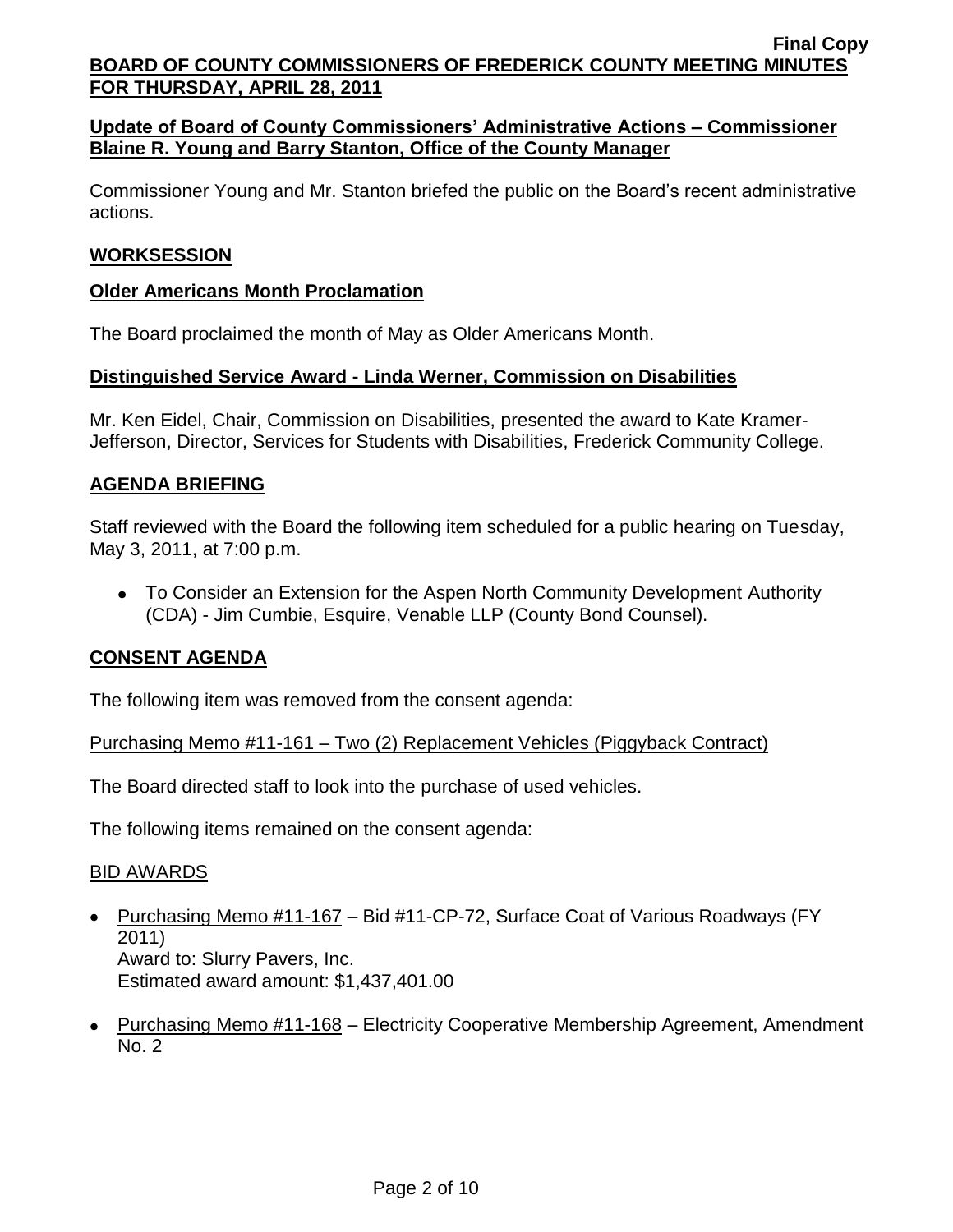## **Update of Board of County Commissioners' Administrative Actions – Commissioner Blaine R. Young and Barry Stanton, Office of the County Manager**

Commissioner Young and Mr. Stanton briefed the public on the Board's recent administrative actions.

#### **WORKSESSION**

#### **Older Americans Month Proclamation**

The Board proclaimed the month of May as Older Americans Month.

#### **Distinguished Service Award - Linda Werner, Commission on Disabilities**

Mr. Ken Eidel, Chair, Commission on Disabilities, presented the award to Kate Kramer-Jefferson, Director, Services for Students with Disabilities, Frederick Community College.

#### **AGENDA BRIEFING**

Staff reviewed with the Board the following item scheduled for a public hearing on Tuesday, May 3, 2011, at 7:00 p.m.

To Consider an Extension for the Aspen North Community Development Authority (CDA) - Jim Cumbie, Esquire, Venable LLP (County Bond Counsel).

## **CONSENT AGENDA**

The following item was removed from the consent agenda:

Purchasing Memo #11-161 – Two (2) Replacement Vehicles (Piggyback Contract)

The Board directed staff to look into the purchase of used vehicles.

The following items remained on the consent agenda:

## BID AWARDS

- Purchasing Memo #11-167 Bid #11-CP-72, Surface Coat of Various Roadways (FY) 2011) Award to: Slurry Pavers, Inc. Estimated award amount: \$1,437,401.00
- Purchasing Memo #11-168 Electricity Cooperative Membership Agreement, Amendment No. 2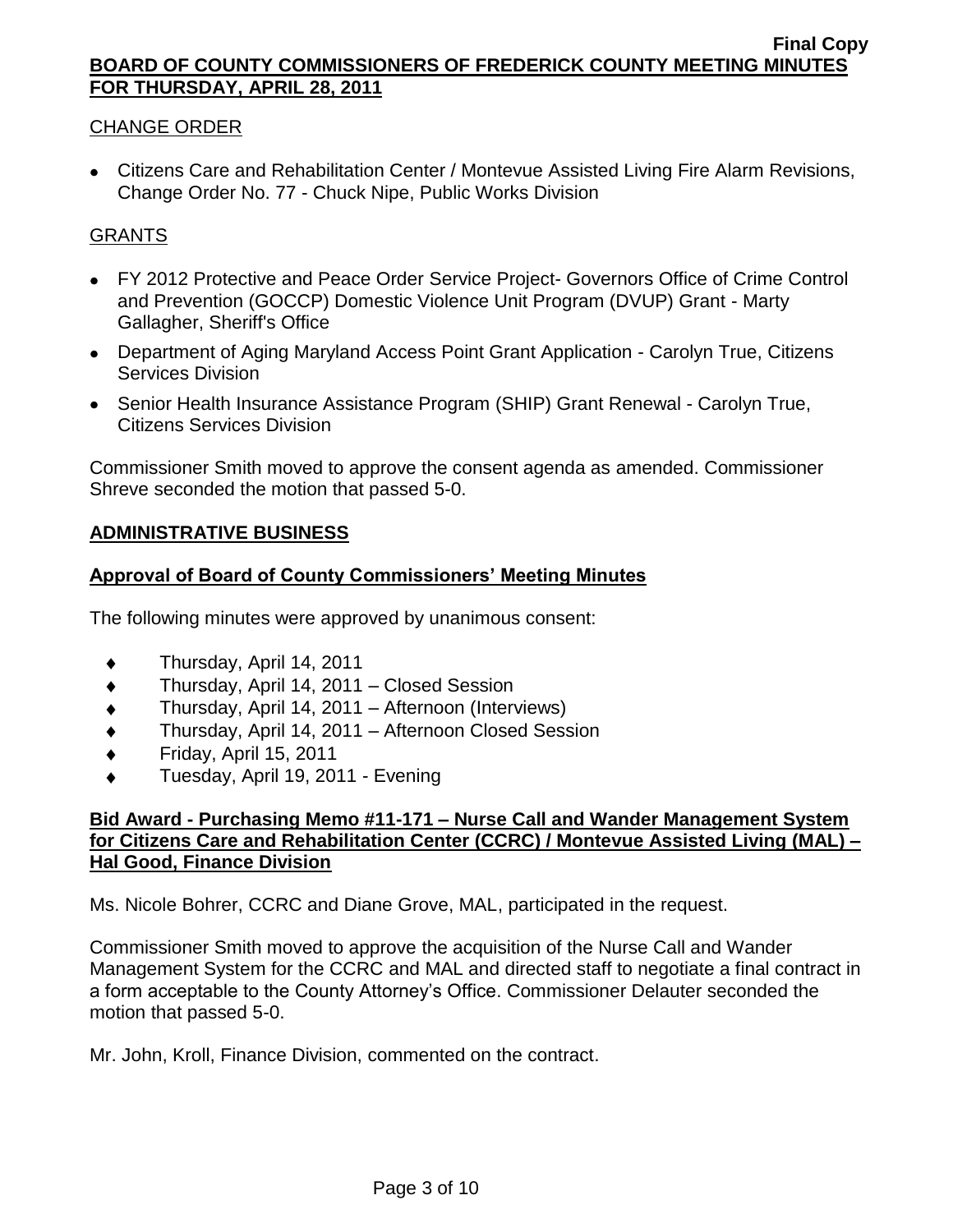## CHANGE ORDER

Citizens Care and Rehabilitation Center / Montevue Assisted Living Fire Alarm Revisions, Change Order No. 77 - Chuck Nipe, Public Works Division

## GRANTS

- FY 2012 Protective and Peace Order Service Project- Governors Office of Crime Control and Prevention (GOCCP) Domestic Violence Unit Program (DVUP) Grant - Marty Gallagher, Sheriff's Office
- Department of Aging Maryland Access Point Grant Application Carolyn True, Citizens Services Division
- Senior Health Insurance Assistance Program (SHIP) Grant Renewal Carolyn True, Citizens Services Division

Commissioner Smith moved to approve the consent agenda as amended. Commissioner Shreve seconded the motion that passed 5-0.

## **ADMINISTRATIVE BUSINESS**

#### **Approval of Board of County Commissioners' Meeting Minutes**

The following minutes were approved by unanimous consent:

- Thursday, April 14, 2011  $\blacklozenge$
- Thursday, April 14, 2011 Closed Session  $\blacklozenge$
- Thursday, April 14, 2011 Afternoon (Interviews)  $\blacklozenge$
- Thursday, April 14, 2011 Afternoon Closed Session  $\bullet$
- Friday, April 15, 2011  $\blacklozenge$
- Tuesday, April 19, 2011 Evening

#### **Bid Award - Purchasing Memo #11-171 – Nurse Call and Wander Management System for Citizens Care and Rehabilitation Center (CCRC) / Montevue Assisted Living (MAL) – Hal Good, Finance Division**

Ms. Nicole Bohrer, CCRC and Diane Grove, MAL, participated in the request.

Commissioner Smith moved to approve the acquisition of the Nurse Call and Wander Management System for the CCRC and MAL and directed staff to negotiate a final contract in a form acceptable to the County Attorney's Office. Commissioner Delauter seconded the motion that passed 5-0.

Mr. John, Kroll, Finance Division, commented on the contract.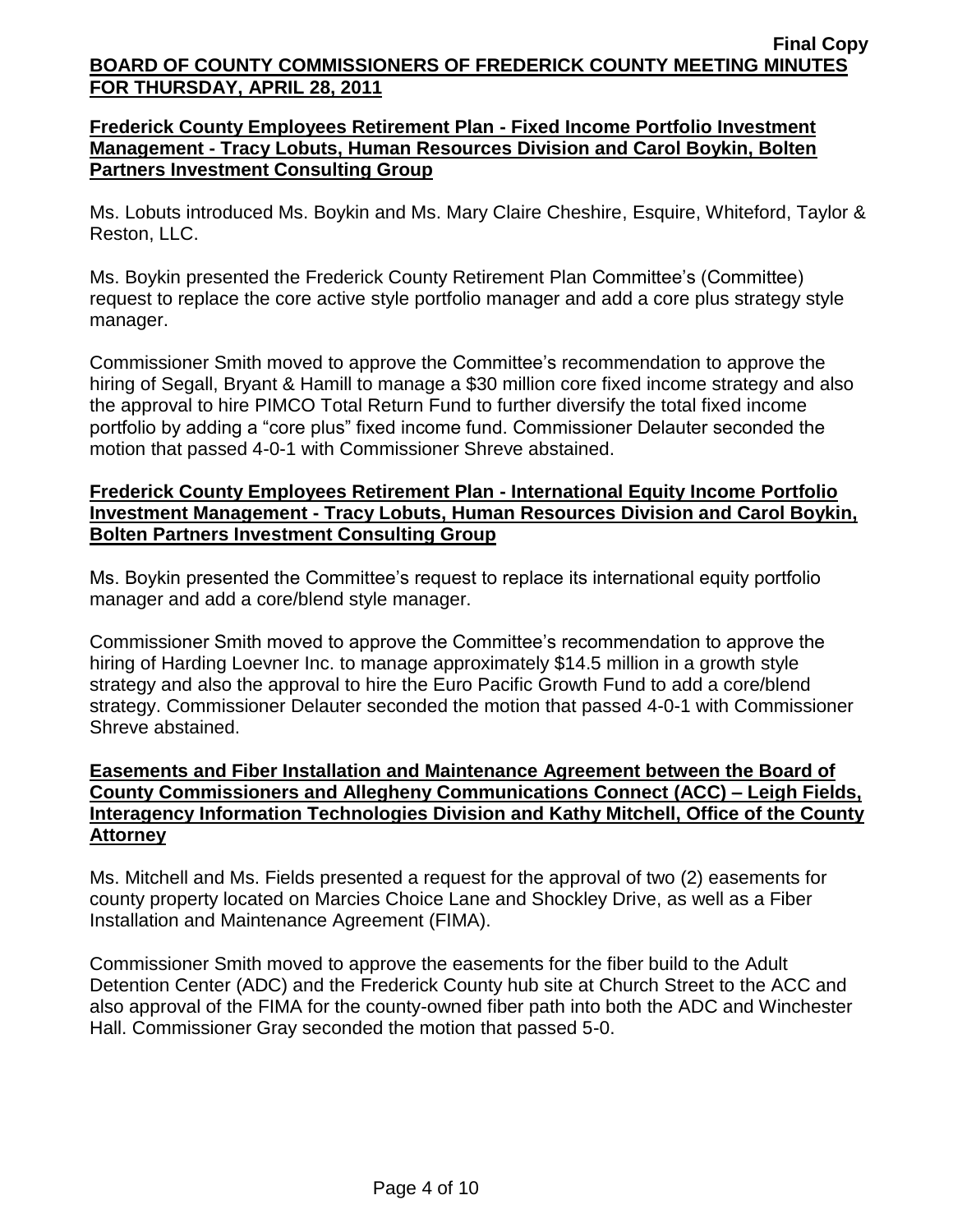## **Frederick County Employees Retirement Plan - Fixed Income Portfolio Investment Management - Tracy Lobuts, Human Resources Division and Carol Boykin, Bolten Partners Investment Consulting Group**

Ms. Lobuts introduced Ms. Boykin and Ms. Mary Claire Cheshire, Esquire, Whiteford, Taylor & Reston, LLC.

Ms. Boykin presented the Frederick County Retirement Plan Committee's (Committee) request to replace the core active style portfolio manager and add a core plus strategy style manager.

Commissioner Smith moved to approve the Committee's recommendation to approve the hiring of Segall, Bryant & Hamill to manage a \$30 million core fixed income strategy and also the approval to hire PIMCO Total Return Fund to further diversify the total fixed income portfolio by adding a "core plus" fixed income fund. Commissioner Delauter seconded the motion that passed 4-0-1 with Commissioner Shreve abstained.

## **Frederick County Employees Retirement Plan - International Equity Income Portfolio Investment Management - Tracy Lobuts, Human Resources Division and Carol Boykin, Bolten Partners Investment Consulting Group**

Ms. Boykin presented the Committee's request to replace its international equity portfolio manager and add a core/blend style manager.

Commissioner Smith moved to approve the Committee's recommendation to approve the hiring of Harding Loevner Inc. to manage approximately \$14.5 million in a growth style strategy and also the approval to hire the Euro Pacific Growth Fund to add a core/blend strategy. Commissioner Delauter seconded the motion that passed 4-0-1 with Commissioner Shreve abstained.

## **Easements and Fiber Installation and Maintenance Agreement between the Board of County Commissioners and Allegheny Communications Connect (ACC) – Leigh Fields, Interagency Information Technologies Division and Kathy Mitchell, Office of the County Attorney**

Ms. Mitchell and Ms. Fields presented a request for the approval of two (2) easements for county property located on Marcies Choice Lane and Shockley Drive, as well as a Fiber Installation and Maintenance Agreement (FIMA).

Commissioner Smith moved to approve the easements for the fiber build to the Adult Detention Center (ADC) and the Frederick County hub site at Church Street to the ACC and also approval of the FIMA for the county-owned fiber path into both the ADC and Winchester Hall. Commissioner Gray seconded the motion that passed 5-0.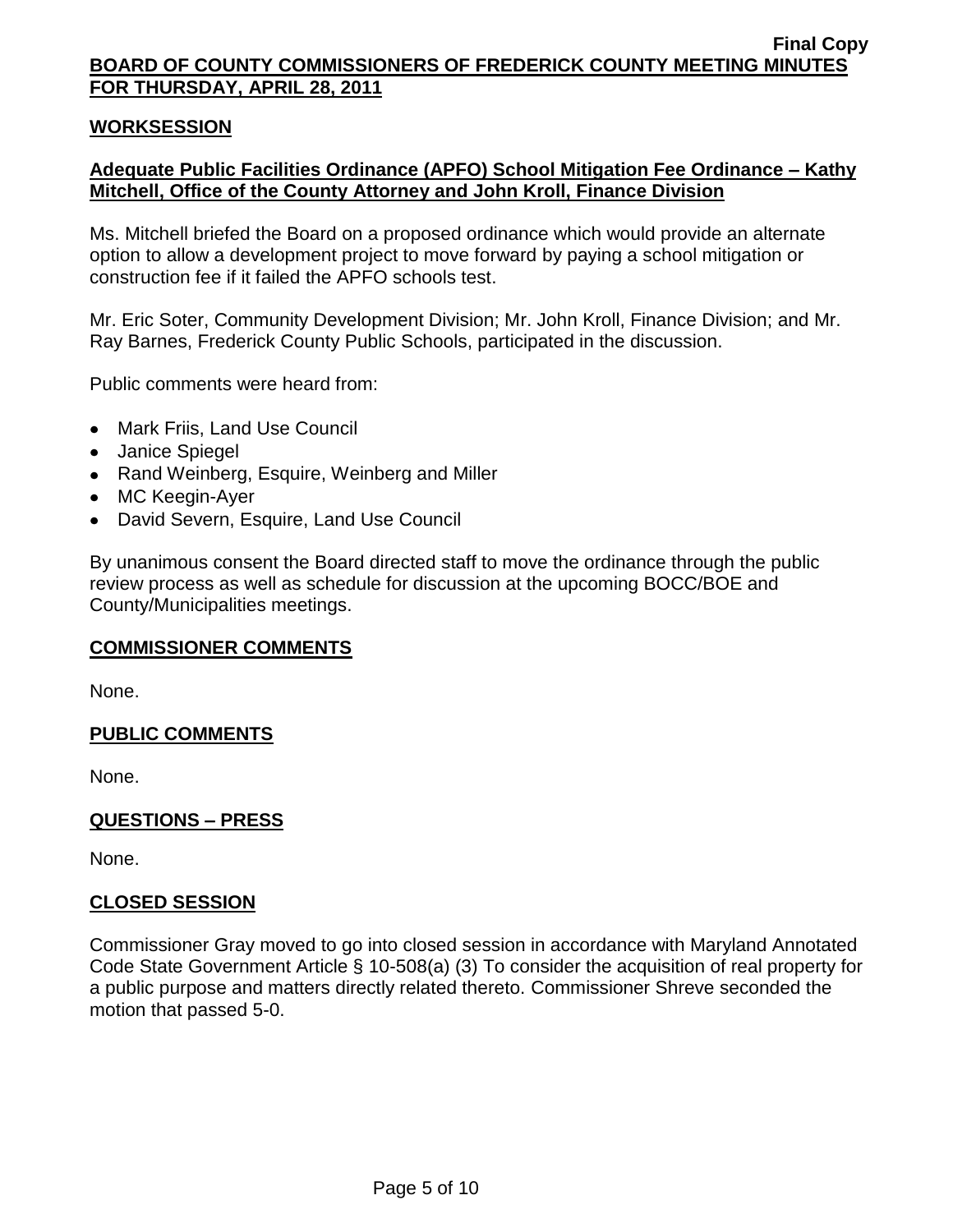#### **WORKSESSION**

## **Adequate Public Facilities Ordinance (APFO) School Mitigation Fee Ordinance – Kathy Mitchell, Office of the County Attorney and John Kroll, Finance Division**

Ms. Mitchell briefed the Board on a proposed ordinance which would provide an alternate option to allow a development project to move forward by paying a school mitigation or construction fee if it failed the APFO schools test.

Mr. Eric Soter, Community Development Division; Mr. John Kroll, Finance Division; and Mr. Ray Barnes, Frederick County Public Schools, participated in the discussion.

Public comments were heard from:

- Mark Friis, Land Use Council
- Janice Spiegel
- Rand Weinberg, Esquire, Weinberg and Miller
- MC Keegin-Ayer
- David Severn, Esquire, Land Use Council

By unanimous consent the Board directed staff to move the ordinance through the public review process as well as schedule for discussion at the upcoming BOCC/BOE and County/Municipalities meetings.

#### **COMMISSIONER COMMENTS**

None.

#### **PUBLIC COMMENTS**

None.

#### **QUESTIONS – PRESS**

None.

#### **CLOSED SESSION**

Commissioner Gray moved to go into closed session in accordance with Maryland Annotated Code State Government Article § 10-508(a) (3) To consider the acquisition of real property for a public purpose and matters directly related thereto. Commissioner Shreve seconded the motion that passed 5-0.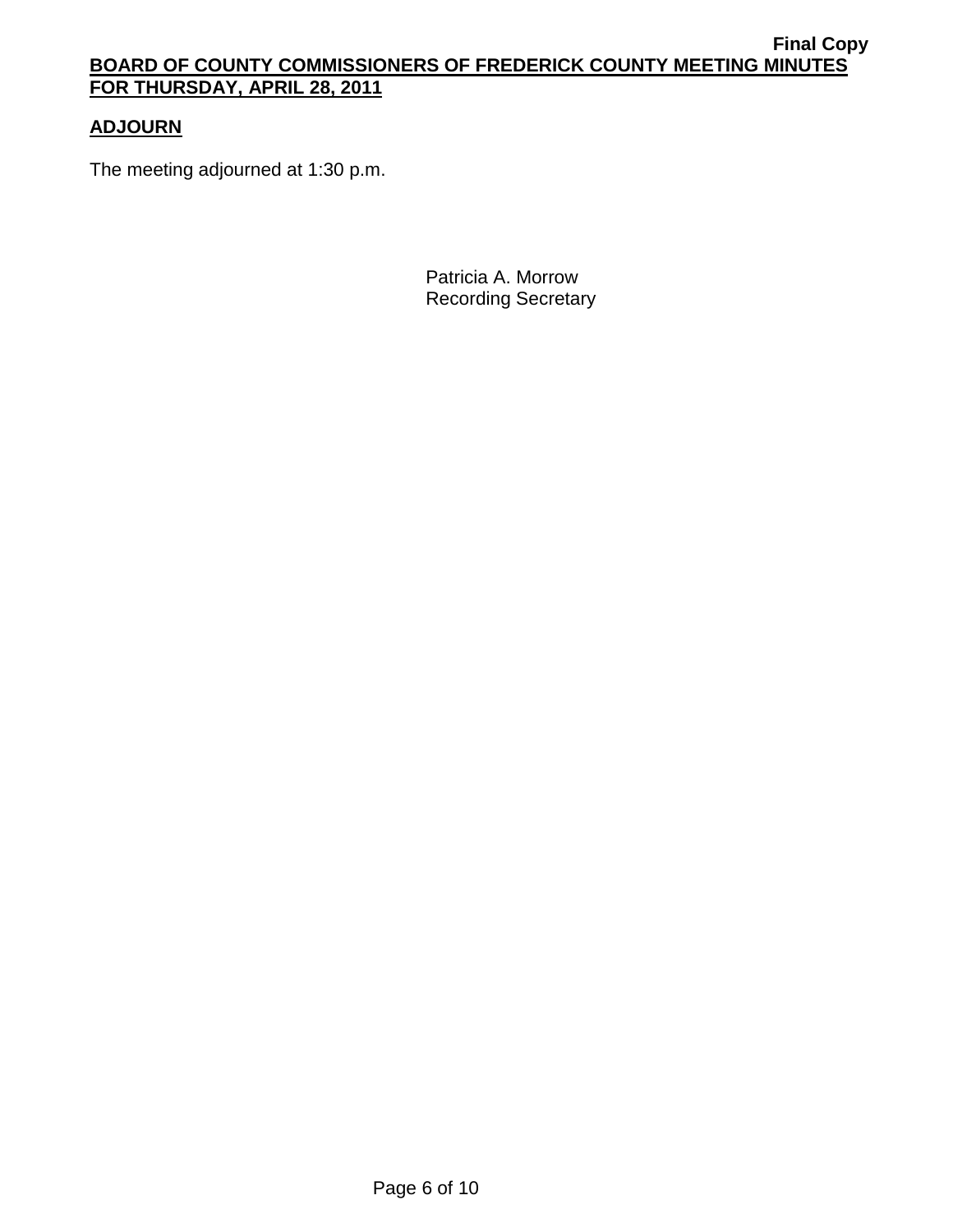## **ADJOURN**

The meeting adjourned at 1:30 p.m.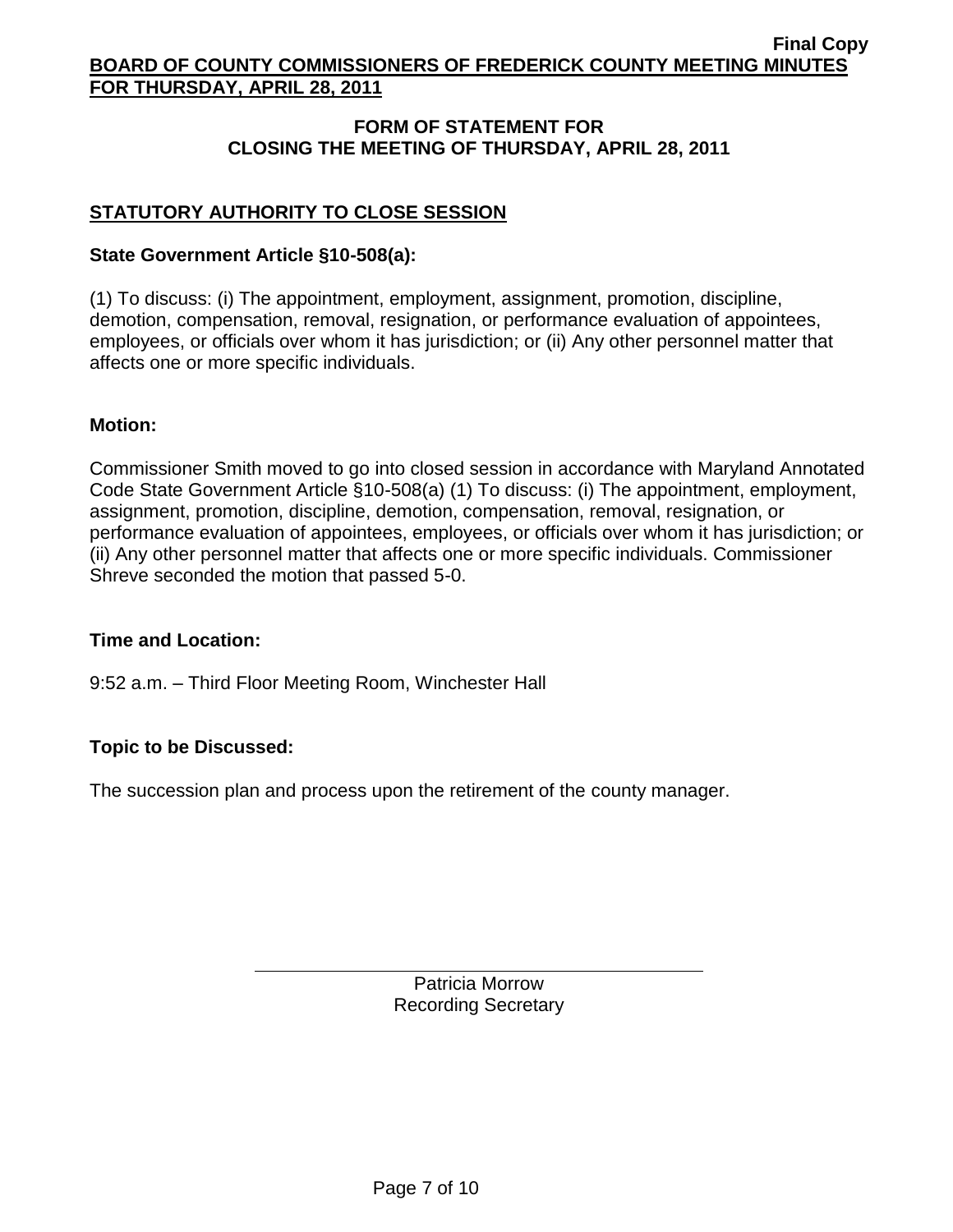## **FORM OF STATEMENT FOR CLOSING THE MEETING OF THURSDAY, APRIL 28, 2011**

# **STATUTORY AUTHORITY TO CLOSE SESSION**

#### **State Government Article §10-508(a):**

(1) To discuss: (i) The appointment, employment, assignment, promotion, discipline, demotion, compensation, removal, resignation, or performance evaluation of appointees, employees, or officials over whom it has jurisdiction; or (ii) Any other personnel matter that affects one or more specific individuals.

#### **Motion:**

Commissioner Smith moved to go into closed session in accordance with Maryland Annotated Code State Government Article §10-508(a) (1) To discuss: (i) The appointment, employment, assignment, promotion, discipline, demotion, compensation, removal, resignation, or performance evaluation of appointees, employees, or officials over whom it has jurisdiction; or (ii) Any other personnel matter that affects one or more specific individuals. Commissioner Shreve seconded the motion that passed 5-0.

#### **Time and Location:**

9:52 a.m. – Third Floor Meeting Room, Winchester Hall

## **Topic to be Discussed:**

The succession plan and process upon the retirement of the county manager.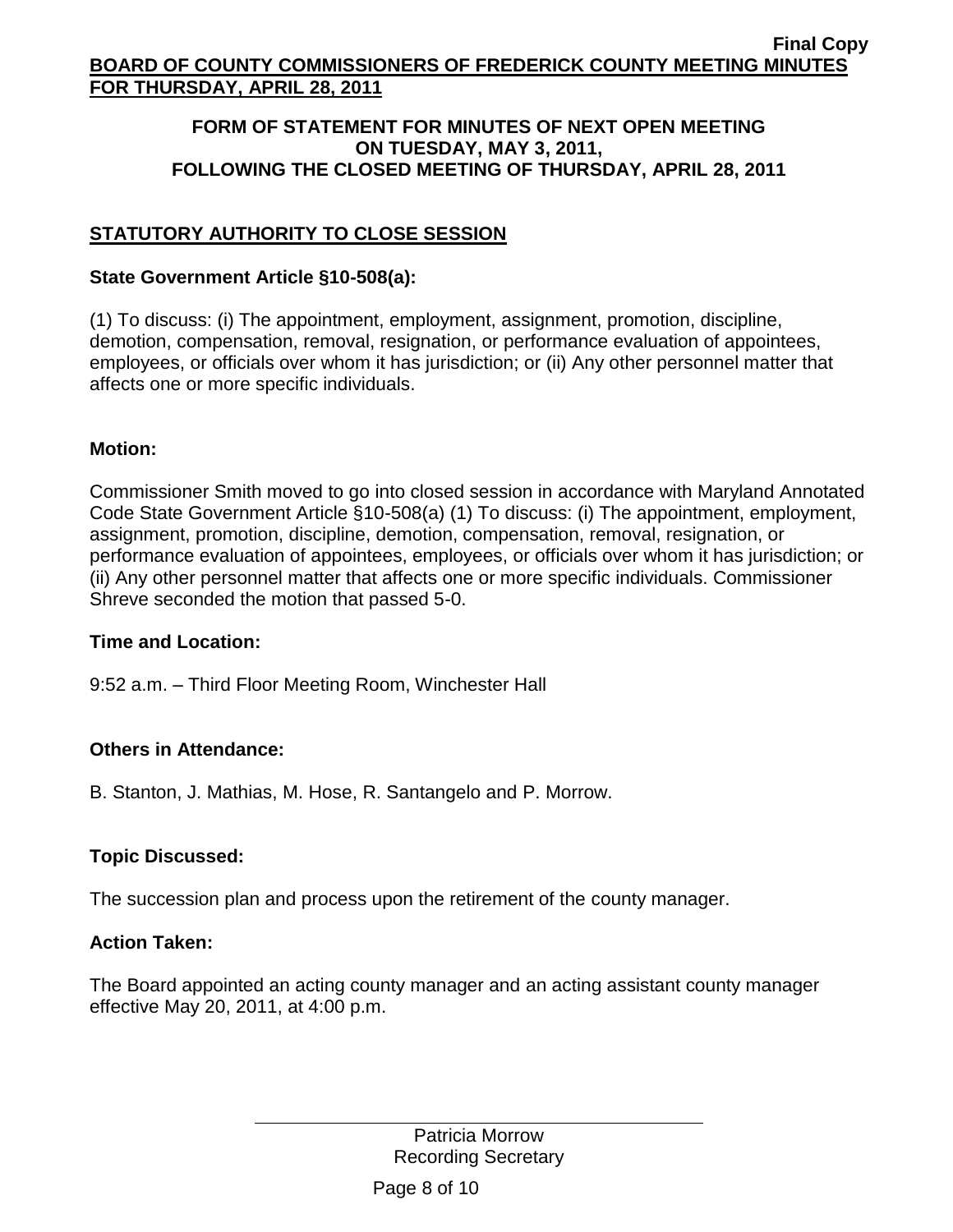### **FORM OF STATEMENT FOR MINUTES OF NEXT OPEN MEETING ON TUESDAY, MAY 3, 2011, FOLLOWING THE CLOSED MEETING OF THURSDAY, APRIL 28, 2011**

# **STATUTORY AUTHORITY TO CLOSE SESSION**

## **State Government Article §10-508(a):**

(1) To discuss: (i) The appointment, employment, assignment, promotion, discipline, demotion, compensation, removal, resignation, or performance evaluation of appointees, employees, or officials over whom it has jurisdiction; or (ii) Any other personnel matter that affects one or more specific individuals.

## **Motion:**

Commissioner Smith moved to go into closed session in accordance with Maryland Annotated Code State Government Article §10-508(a) (1) To discuss: (i) The appointment, employment, assignment, promotion, discipline, demotion, compensation, removal, resignation, or performance evaluation of appointees, employees, or officials over whom it has jurisdiction; or (ii) Any other personnel matter that affects one or more specific individuals. Commissioner Shreve seconded the motion that passed 5-0.

## **Time and Location:**

9:52 a.m. – Third Floor Meeting Room, Winchester Hall

## **Others in Attendance:**

B. Stanton, J. Mathias, M. Hose, R. Santangelo and P. Morrow.

## **Topic Discussed:**

The succession plan and process upon the retirement of the county manager.

## **Action Taken:**

The Board appointed an acting county manager and an acting assistant county manager effective May 20, 2011, at 4:00 p.m.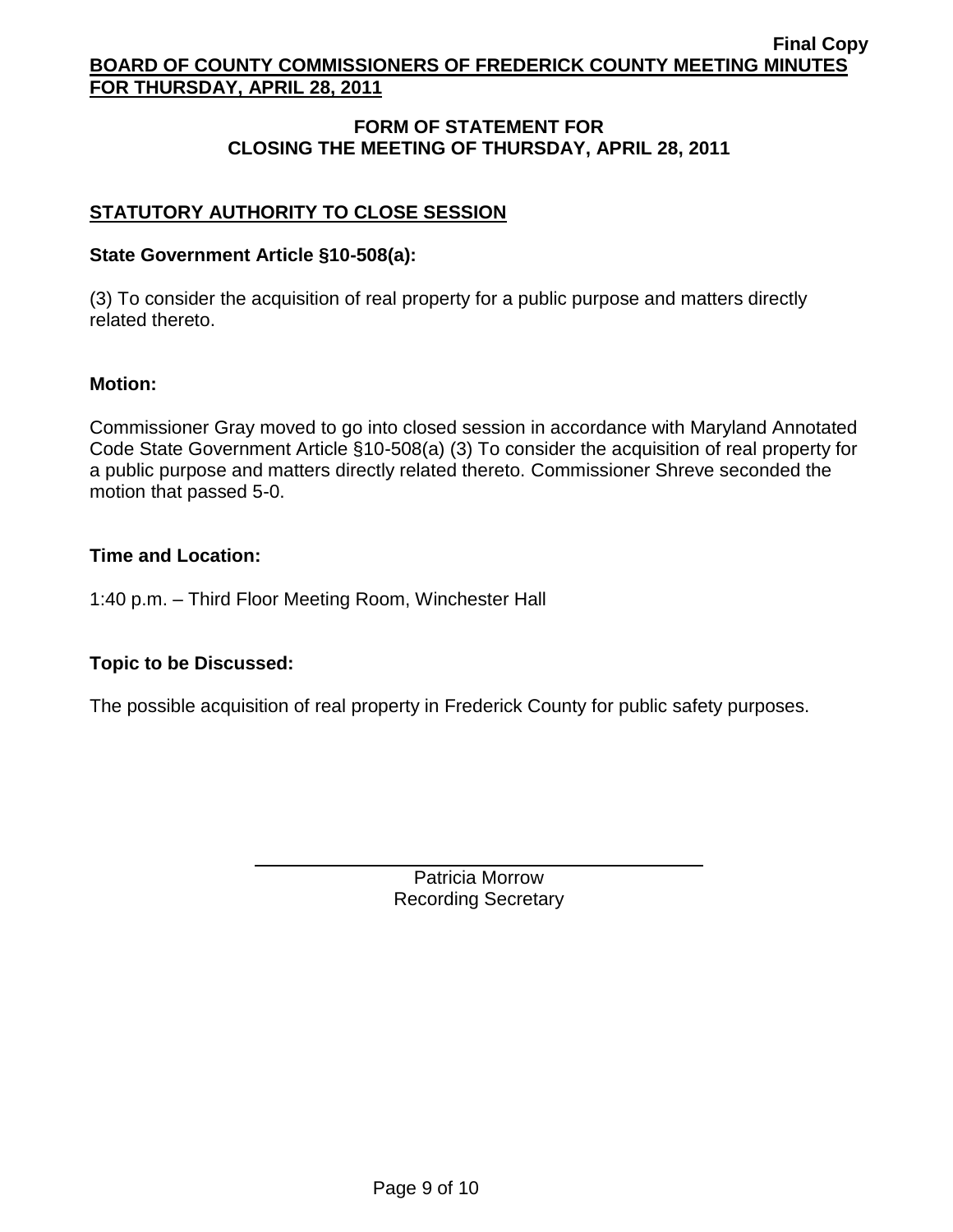## **FORM OF STATEMENT FOR CLOSING THE MEETING OF THURSDAY, APRIL 28, 2011**

## **STATUTORY AUTHORITY TO CLOSE SESSION**

#### **State Government Article §10-508(a):**

(3) To consider the acquisition of real property for a public purpose and matters directly related thereto.

#### **Motion:**

Commissioner Gray moved to go into closed session in accordance with Maryland Annotated Code State Government Article §10-508(a) (3) To consider the acquisition of real property for a public purpose and matters directly related thereto. Commissioner Shreve seconded the motion that passed 5-0.

#### **Time and Location:**

1:40 p.m. – Third Floor Meeting Room, Winchester Hall

## **Topic to be Discussed:**

The possible acquisition of real property in Frederick County for public safety purposes.